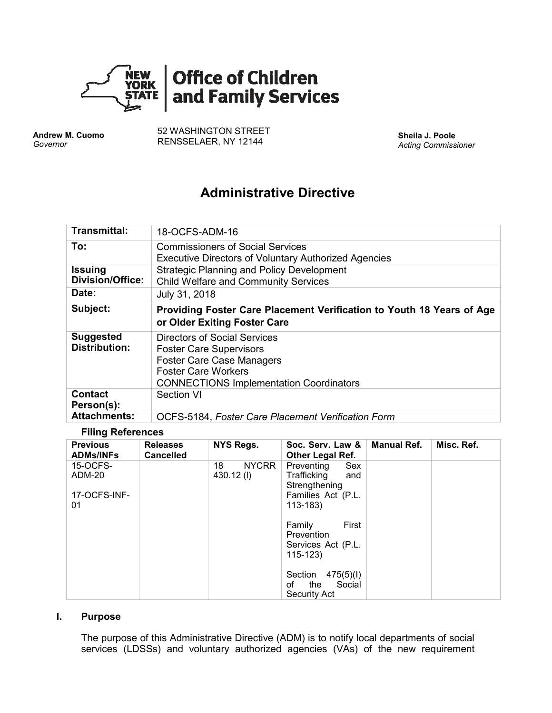

**Andrew M. Cuomo** *Governor*

52 WASHINGTON STREET RENSSELAER, NY 12144 **Sheila J. Poole**

*Acting Commissioner*

# **Administrative Directive**

| Transmittal:                              | 18-OCFS-ADM-16                                                                                                                                                                     |
|-------------------------------------------|------------------------------------------------------------------------------------------------------------------------------------------------------------------------------------|
| To:                                       | <b>Commissioners of Social Services</b><br><b>Executive Directors of Voluntary Authorized Agencies</b>                                                                             |
| <b>Issuing</b><br><b>Division/Office:</b> | <b>Strategic Planning and Policy Development</b><br><b>Child Welfare and Community Services</b>                                                                                    |
| Date:                                     | July 31, 2018                                                                                                                                                                      |
| Subject:                                  | Providing Foster Care Placement Verification to Youth 18 Years of Age<br>or Older Exiting Foster Care                                                                              |
| <b>Suggested</b><br><b>Distribution:</b>  | Directors of Social Services<br><b>Foster Care Supervisors</b><br><b>Foster Care Case Managers</b><br><b>Foster Care Workers</b><br><b>CONNECTIONS Implementation Coordinators</b> |
| <b>Contact</b><br>Person(s):              | <b>Section VI</b>                                                                                                                                                                  |
| <b>Attachments:</b>                       |                                                                                                                                                                                    |

#### **Filing References**

| <b>Previous</b><br><b>ADMs/INFs</b>      | <b>Releases</b><br><b>Cancelled</b> | NYS Regs.                       | Soc. Serv. Law &<br><b>Other Legal Ref.</b>                                                   | <b>Manual Ref.</b> | Misc. Ref. |
|------------------------------------------|-------------------------------------|---------------------------------|-----------------------------------------------------------------------------------------------|--------------------|------------|
| 15-OCFS-<br>ADM-20<br>17-OCFS-INF-<br>01 |                                     | <b>NYCRR</b><br>18<br>430.12(I) | Sex<br>Preventing<br>Trafficking<br>and<br>Strengthening<br>Families Act (P.L.<br>$113 - 183$ |                    |            |
|                                          |                                     |                                 | First<br>Family<br><b>Prevention</b><br>Services Act (P.L.<br>$115 - 123$                     |                    |            |
|                                          |                                     |                                 | 475(5)(1)<br>Section<br>Social<br>the<br>οf<br>Security Act                                   |                    |            |

#### **I. Purpose**

The purpose of this Administrative Directive (ADM) is to notify local departments of social services (LDSSs) and voluntary authorized agencies (VAs) of the new requirement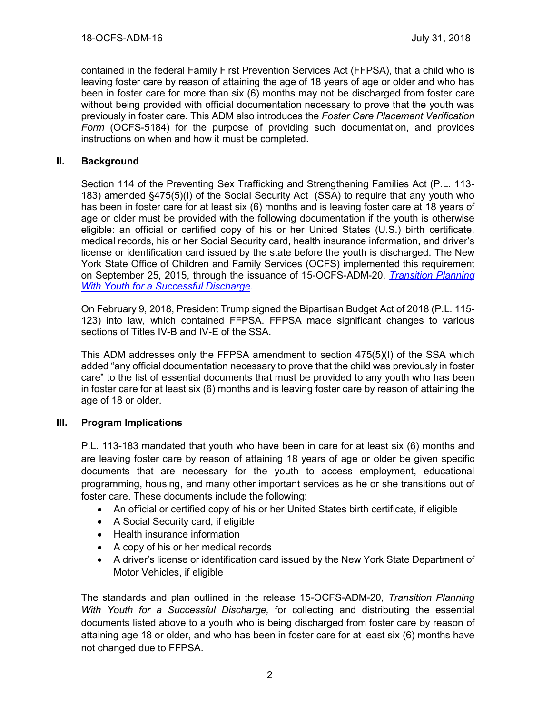contained in the federal Family First Prevention Services Act (FFPSA), that a child who is leaving foster care by reason of attaining the age of 18 years of age or older and who has been in foster care for more than six (6) months may not be discharged from foster care without being provided with official documentation necessary to prove that the youth was previously in foster care. This ADM also introduces the *Foster Care Placement Verification Form* (OCFS-5184) for the purpose of providing such documentation, and provides instructions on when and how it must be completed.

# **II. Background**

Section 114 of the Preventing Sex Trafficking and Strengthening Families Act (P.L. 113- 183) amended §475(5)(I) of the Social Security Act (SSA) to require that any youth who has been in foster care for at least six (6) months and is leaving foster care at 18 years of age or older must be provided with the following documentation if the youth is otherwise eligible: an official or certified copy of his or her United States (U.S.) birth certificate, medical records, his or her Social Security card, health insurance information, and driver's license or identification card issued by the state before the youth is discharged. The New York State Office of Children and Family Services (OCFS) implemented this requirement on September 25, 2015, through the issuance of 15-OCFS-ADM-20, *[Transition Planning](https://ocfs.ny.gov/main/policies/external/OCFS_2015/ADMs/15-OCFS-ADM-20%20%20Transition%20Planning%20with%20Youth%20for%20a%20Successful%20Discharge.pdf)  With [Youth for a Successful Discharge.](https://ocfs.ny.gov/main/policies/external/OCFS_2015/ADMs/15-OCFS-ADM-20%20%20Transition%20Planning%20with%20Youth%20for%20a%20Successful%20Discharge.pdf)*

On February 9, 2018, President Trump signed the Bipartisan Budget Act of 2018 (P.L. 115- 123) into law, which contained FFPSA. FFPSA made significant changes to various sections of Titles IV-B and IV-E of the SSA.

This ADM addresses only the FFPSA amendment to section 475(5)(I) of the SSA which added "any official documentation necessary to prove that the child was previously in foster care" to the list of essential documents that must be provided to any youth who has been in foster care for at least six (6) months and is leaving foster care by reason of attaining the age of 18 or older.

## **III. Program Implications**

P.L. 113-183 mandated that youth who have been in care for at least six (6) months and are leaving foster care by reason of attaining 18 years of age or older be given specific documents that are necessary for the youth to access employment, educational programming, housing, and many other important services as he or she transitions out of foster care. These documents include the following:

- An official or certified copy of his or her United States birth certificate, if eligible
- A Social Security card, if eligible
- Health insurance information
- A copy of his or her medical records
- A driver's license or identification card issued by the New York State Department of Motor Vehicles, if eligible

The standards and plan outlined in the release 15-OCFS-ADM-20, *Transition Planning With Youth for a Successful Discharge,* for collecting and distributing the essential documents listed above to a youth who is being discharged from foster care by reason of attaining age 18 or older, and who has been in foster care for at least six (6) months have not changed due to FFPSA.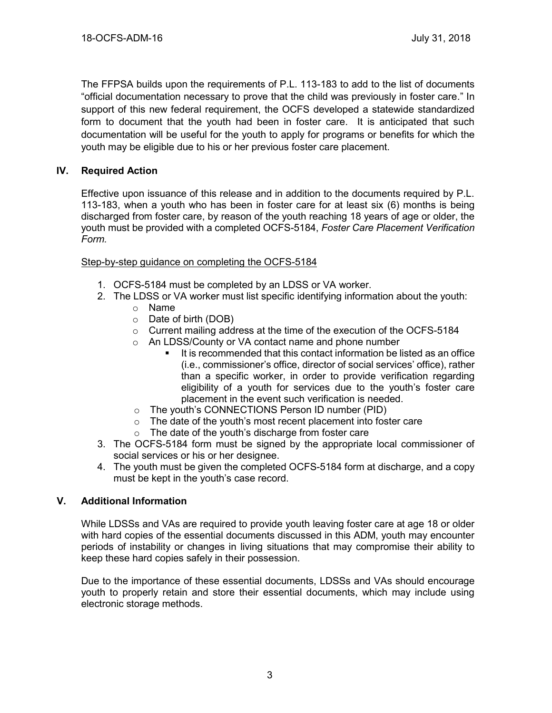The FFPSA builds upon the requirements of P.L. 113-183 to add to the list of documents "official documentation necessary to prove that the child was previously in foster care." In support of this new federal requirement, the OCFS developed a statewide standardized form to document that the youth had been in foster care. It is anticipated that such documentation will be useful for the youth to apply for programs or benefits for which the youth may be eligible due to his or her previous foster care placement.

# **IV. Required Action**

Effective upon issuance of this release and in addition to the documents required by P.L. 113-183, when a youth who has been in foster care for at least six (6) months is being discharged from foster care, by reason of the youth reaching 18 years of age or older, the youth must be provided with a completed OCFS-5184, *Foster Care Placement Verification Form.*

## Step-by-step guidance on completing the OCFS-5184

- 1. OCFS-5184 must be completed by an LDSS or VA worker.
- 2. The LDSS or VA worker must list specific identifying information about the youth:
	- o Name
	- o Date of birth (DOB)
	- $\circ$  Current mailing address at the time of the execution of the OCFS-5184
	- o An LDSS/County or VA contact name and phone number
		- It is recommended that this contact information be listed as an office (i.e., commissioner's office, director of social services' office), rather than a specific worker, in order to provide verification regarding eligibility of a youth for services due to the youth's foster care placement in the event such verification is needed.
	- o The youth's CONNECTIONS Person ID number (PID)
	- $\circ$  The date of the youth's most recent placement into foster care
	- o The date of the youth's discharge from foster care
- 3. The OCFS-5184 form must be signed by the appropriate local commissioner of social services or his or her designee.
- 4. The youth must be given the completed OCFS-5184 form at discharge, and a copy must be kept in the youth's case record.

## **V. Additional Information**

While LDSSs and VAs are required to provide youth leaving foster care at age 18 or older with hard copies of the essential documents discussed in this ADM, youth may encounter periods of instability or changes in living situations that may compromise their ability to keep these hard copies safely in their possession.

Due to the importance of these essential documents, LDSSs and VAs should encourage youth to properly retain and store their essential documents, which may include using electronic storage methods.